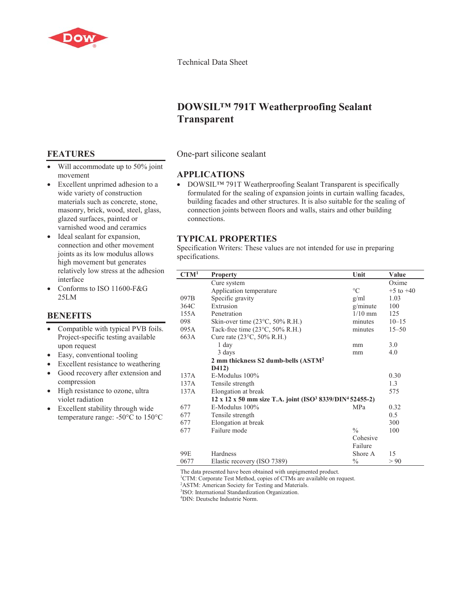

Technical Data Sheet

# **DOWSIL™ 791T Weatherproofing Sealant Transparent**

One-part silicone sealant

## **APPLICATIONS**

• DOWSIL<sup>TM</sup> 791T Weatherproofing Sealant Transparent is specifically formulated for the sealing of expansion joints in curtain walling facades, building facades and other structures. It is also suitable for the sealing of connection joints between floors and walls, stairs and other building connections.

## **TYPICAL PROPERTIES**

Specification Writers: These values are not intended for use in preparing specifications.

| CTM <sup>1</sup> | <b>Property</b>                                                                              | Unit          | Value         |
|------------------|----------------------------------------------------------------------------------------------|---------------|---------------|
|                  | Cure system                                                                                  |               | Oxime         |
|                  | Application temperature                                                                      | $\circ$ C     | $+5$ to $+40$ |
| 097B             | Specific gravity                                                                             | g/ml          | 1.03          |
| 364C             | Extrusion                                                                                    | g/minute      | 100           |
| 155A             | Penetration                                                                                  | $1/10$ mm     | 125           |
| 098              | Skin-over time $(23^{\circ}C, 50\% \text{ R.H.})$                                            | minutes       | $10 - 15$     |
| 095A             | Tack-free time $(23^{\circ}C, 50\% \text{ R.H.})$                                            | minutes       | $15 - 50$     |
| 663A             | Cure rate (23°C, 50% R.H.)                                                                   |               |               |
|                  | 1 day                                                                                        | mm            | 3.0           |
|                  | 3 days                                                                                       | mm            | 4.0           |
|                  | 2 mm thickness S2 dumb-bells (ASTM <sup>2</sup>                                              |               |               |
|                  | D412)                                                                                        |               |               |
| 137A             | $E-M$ odulus $100\%$                                                                         |               | 0.30          |
| 137A             | Tensile strength                                                                             |               | 1.3           |
| 137A             | Elongation at break                                                                          |               | 575           |
|                  | $12 \times 12 \times 50$ mm size T.A. joint (ISO <sup>3</sup> 8339/DIN <sup>4</sup> 52455-2) |               |               |
| 677              | $E-Modulus$ 100%                                                                             | <b>MPa</b>    | 0.32          |
| 677              | Tensile strength                                                                             |               | 0.5           |
| 677              | Elongation at break                                                                          |               | 300           |
| 677              | Failure mode                                                                                 | $\frac{0}{0}$ | 100           |
|                  |                                                                                              | Cohesive      |               |
|                  |                                                                                              | Failure       |               |
| 99E              | Hardness                                                                                     | Shore A       | 15            |
| 0677             | Elastic recovery (ISO 7389)                                                                  | $\frac{0}{0}$ | > 90          |

The data presented have been obtained with unpigmented product.

<sup>1</sup>CTM: Corporate Test Method, copies of CTMs are available on request.

<sup>2</sup>ASTM: American Society for Testing and Materials.

3 ISO: International Standardization Organization.

4 DIN: Deutsche Industrie Norm.

## **FEATURES**

- $\bullet$  Will accommodate up to 50% joint movement
- Excellent unprimed adhesion to a wide variety of construction materials such as concrete, stone, masonry, brick, wood, steel, glass, glazed surfaces, painted or varnished wood and ceramics
- Ideal sealant for expansion, connection and other movement joints as its low modulus allows high movement but generates relatively low stress at the adhesion interface
- Conforms to ISO 11600-F&G 25LM

## **BENEFITS**

- Compatible with typical PVB foils. Project-specific testing available upon request
- $\bullet$  Easy, conventional tooling
- Excellent resistance to weathering
- Good recovery after extension and compression
- High resistance to ozone, ultra violet radiation
- Excellent stability through wide temperature range: -50°C to 150°C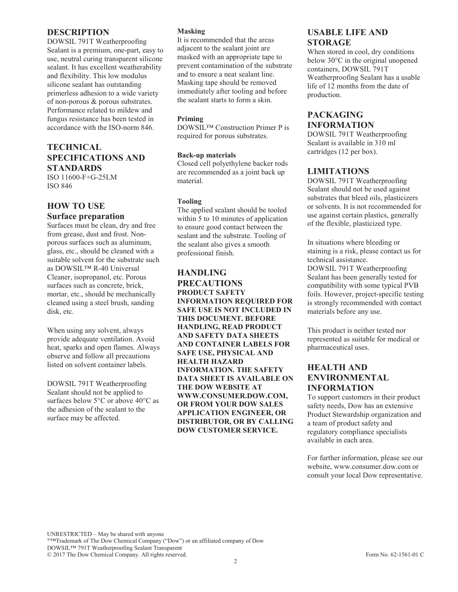### **DESCRIPTION**

DOWSIL 791T Weatherproofing Sealant is a premium, one-part, easy to use, neutral curing transparent silicone sealant. It has excellent weatherability and flexibility. This low modulus silicone sealant has outstanding primerless adhesion to a wide variety of non-porous & porous substrates. Performance related to mildew and fungus resistance has been tested in accordance with the ISO-norm 846.

## **TECHNICAL SPECIFICATIONS AND STANDARDS**

ISO 11600-F+G-25LM ISO 846

## **HOW TO USE**

#### **Surface preparation**

Surfaces must be clean, dry and free from grease, dust and frost. Nonporous surfaces such as aluminum, glass, etc., should be cleaned with a suitable solvent for the substrate such as DOWSIL™ R-40 Universal Cleaner, isopropanol, etc. Porous surfaces such as concrete, brick, mortar, etc., should be mechanically cleaned using a steel brush, sanding disk, etc.

When using any solvent, always provide adequate ventilation. Avoid heat, sparks and open flames. Always observe and follow all precautions listed on solvent container labels.

DOWSIL 791T Weatherproofing Sealant should not be applied to surfaces below 5°C or above 40°C as the adhesion of the sealant to the surface may be affected.

#### **Masking**

It is recommended that the areas adjacent to the sealant joint are masked with an appropriate tape to prevent contamination of the substrate and to ensure a neat sealant line. Masking tape should be removed immediately after tooling and before the sealant starts to form a skin.

#### **Priming**

DOWSIL™ Construction Primer P is required for porous substrates.

#### **Back-up materials**

Closed cell polyethylene backer rods are recommended as a joint back up material.

#### **Tooling**

The applied sealant should be tooled within 5 to 10 minutes of application to ensure good contact between the sealant and the substrate. Tooling of the sealant also gives a smooth professional finish.

#### **HANDLING PRECAUTIONS PRODUCT SAFETY INFORMATION REQUIRED FOR SAFE USE IS NOT INCLUDED IN THIS DOCUMENT. BEFORE HANDLING, READ PRODUCT AND SAFETY DATA SHEETS AND CONTAINER LABELS FOR SAFE USE, PHYSICAL AND HEALTH HAZARD INFORMATION. THE SAFETY DATA SHEET IS AVAILABLE ON THE DOW WEBSITE AT WWW.CONSUMER.DOW.COM, OR FROM YOUR DOW SALES APPLICATION ENGINEER, OR DISTRIBUTOR, OR BY CALLING DOW CUSTOMER SERVICE.**

### **USABLE LIFE AND STORAGE**

When stored in cool, dry conditions below 30°C in the original unopened containers, DOWSIL 791T Weatherproofing Sealant has a usable life of 12 months from the date of production.

## **PACKAGING INFORMATION**

DOWSIL 791T Weatherproofing Sealant is available in 310 ml cartridges (12 per box).

## **LIMITATIONS**

DOWSIL 791T Weatherproofing Sealant should not be used against substrates that bleed oils, plasticizers or solvents. It is not recommended for use against certain plastics, generally of the flexible, plasticized type.

In situations where bleeding or staining is a risk, please contact us for technical assistance.

DOWSIL 791T Weatherproofing Sealant has been generally tested for compatibility with some typical PVB foils. However, project-specific testing is strongly recommended with contact materials before any use.

This product is neither tested nor represented as suitable for medical or pharmaceutical uses.

## **HEALTH AND ENVIRONMENTAL INFORMATION**

To support customers in their product safety needs, Dow has an extensive Product Stewardship organization and a team of product safety and regulatory compliance specialists available in each area.

For further information, please see our website, www.consumer.dow.com or consult your local Dow representative.

UNRESTRICTED – May be shared with anyone ®™Trademark of The Dow Chemical Company ("Dow") or an affiliated company of Dow DOWSIL™ 791T Weatherproofing Sealant Transparent © 2017 The Dow Chemical Company. All rights reserved. Form No. 62-1561-01 C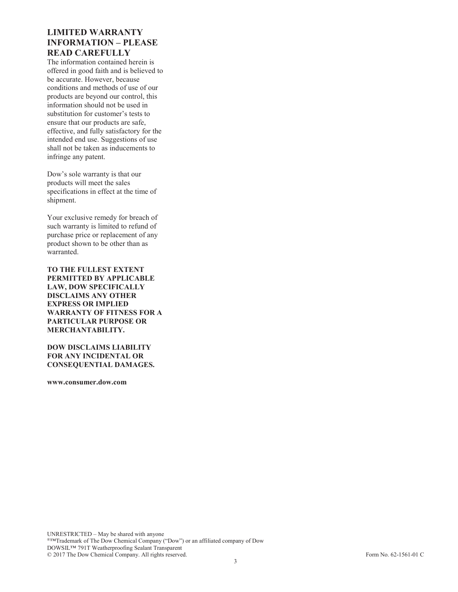## **LIMITED WARRANTY INFORMATION – PLEASE READ CAREFULLY**

The information contained herein is offered in good faith and is believed to be accurate. However, because conditions and methods of use of our products are beyond our control, this information should not be used in substitution for customer's tests to ensure that our products are safe, effective, and fully satisfactory for the intended end use. Suggestions of use shall not be taken as inducements to infringe any patent.

Dow's sole warranty is that our products will meet the sales specifications in effect at the time of shipment.

Your exclusive remedy for breach of such warranty is limited to refund of purchase price or replacement of any product shown to be other than as warranted.

**TO THE FULLEST EXTENT PERMITTED BY APPLICABLE LAW, DOW SPECIFICALLY DISCLAIMS ANY OTHER EXPRESS OR IMPLIED WARRANTY OF FITNESS FOR A PARTICULAR PURPOSE OR MERCHANTABILITY.**

**DOW DISCLAIMS LIABILITY FOR ANY INCIDENTAL OR CONSEQUENTIAL DAMAGES.**

**www.consumer.dow.com**